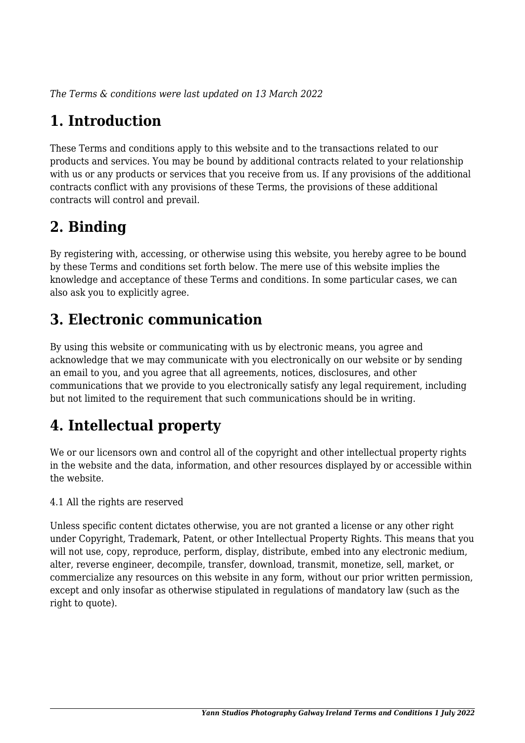*The Terms & conditions were last updated on 13 March 2022*

# **1. Introduction**

These Terms and conditions apply to this website and to the transactions related to our products and services. You may be bound by additional contracts related to your relationship with us or any products or services that you receive from us. If any provisions of the additional contracts conflict with any provisions of these Terms, the provisions of these additional contracts will control and prevail.

# **2. Binding**

By registering with, accessing, or otherwise using this website, you hereby agree to be bound by these Terms and conditions set forth below. The mere use of this website implies the knowledge and acceptance of these Terms and conditions. In some particular cases, we can also ask you to explicitly agree.

# **3. Electronic communication**

By using this website or communicating with us by electronic means, you agree and acknowledge that we may communicate with you electronically on our website or by sending an email to you, and you agree that all agreements, notices, disclosures, and other communications that we provide to you electronically satisfy any legal requirement, including but not limited to the requirement that such communications should be in writing.

# **4. Intellectual property**

We or our licensors own and control all of the copyright and other intellectual property rights in the website and the data, information, and other resources displayed by or accessible within the website.

4.1 All the rights are reserved

Unless specific content dictates otherwise, you are not granted a license or any other right under Copyright, Trademark, Patent, or other Intellectual Property Rights. This means that you will not use, copy, reproduce, perform, display, distribute, embed into any electronic medium, alter, reverse engineer, decompile, transfer, download, transmit, monetize, sell, market, or commercialize any resources on this website in any form, without our prior written permission, except and only insofar as otherwise stipulated in regulations of mandatory law (such as the right to quote).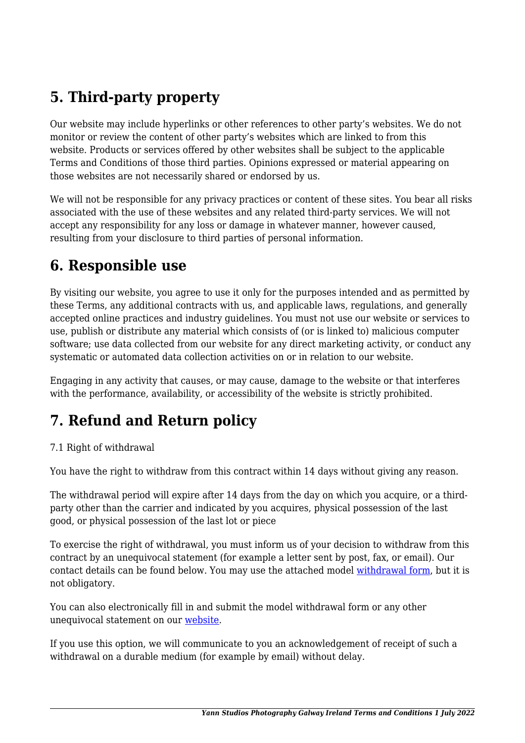# **5. Third-party property**

Our website may include hyperlinks or other references to other party's websites. We do not monitor or review the content of other party's websites which are linked to from this website. Products or services offered by other websites shall be subject to the applicable Terms and Conditions of those third parties. Opinions expressed or material appearing on those websites are not necessarily shared or endorsed by us.

We will not be responsible for any privacy practices or content of these sites. You bear all risks associated with the use of these websites and any related third-party services. We will not accept any responsibility for any loss or damage in whatever manner, however caused, resulting from your disclosure to third parties of personal information.

### **6. Responsible use**

By visiting our website, you agree to use it only for the purposes intended and as permitted by these Terms, any additional contracts with us, and applicable laws, regulations, and generally accepted online practices and industry guidelines. You must not use our website or services to use, publish or distribute any material which consists of (or is linked to) malicious computer software; use data collected from our website for any direct marketing activity, or conduct any systematic or automated data collection activities on or in relation to our website.

Engaging in any activity that causes, or may cause, damage to the website or that interferes with the performance, availability, or accessibility of the website is strictly prohibited.

# **7. Refund and Return policy**

#### 7.1 Right of withdrawal

You have the right to withdraw from this contract within 14 days without giving any reason.

The withdrawal period will expire after 14 days from the day on which you acquire, or a thirdparty other than the carrier and indicated by you acquires, physical possession of the last good, or physical possession of the last lot or piece

To exercise the right of withdrawal, you must inform us of your decision to withdraw from this contract by an unequivocal statement (for example a letter sent by post, fax, or email). Our contact details can be found below. You may use the attached model [withdrawal form](https://yannstudios.com/wp-content/uploads/complianz/withdrawal-forms/withdrawal-form-en.pdf), but it is not obligatory.

You can also electronically fill in and submit the model withdrawal form or any other unequivocal statement on our [website](https://yannstudios.com/contact/).

If you use this option, we will communicate to you an acknowledgement of receipt of such a withdrawal on a durable medium (for example by email) without delay.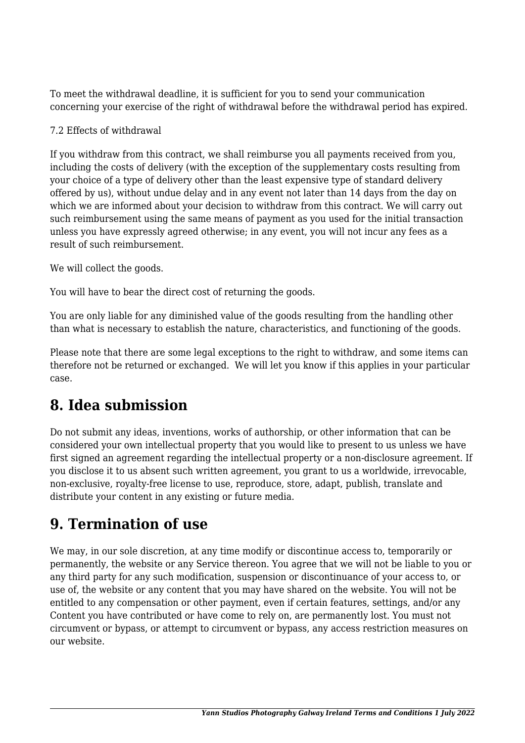To meet the withdrawal deadline, it is sufficient for you to send your communication concerning your exercise of the right of withdrawal before the withdrawal period has expired.

#### 7.2 Effects of withdrawal

If you withdraw from this contract, we shall reimburse you all payments received from you, including the costs of delivery (with the exception of the supplementary costs resulting from your choice of a type of delivery other than the least expensive type of standard delivery offered by us), without undue delay and in any event not later than 14 days from the day on which we are informed about your decision to withdraw from this contract. We will carry out such reimbursement using the same means of payment as you used for the initial transaction unless you have expressly agreed otherwise; in any event, you will not incur any fees as a result of such reimbursement.

We will collect the goods.

You will have to bear the direct cost of returning the goods.

You are only liable for any diminished value of the goods resulting from the handling other than what is necessary to establish the nature, characteristics, and functioning of the goods.

Please note that there are some legal exceptions to the right to withdraw, and some items can therefore not be returned or exchanged. We will let you know if this applies in your particular case.

#### **8. Idea submission**

Do not submit any ideas, inventions, works of authorship, or other information that can be considered your own intellectual property that you would like to present to us unless we have first signed an agreement regarding the intellectual property or a non-disclosure agreement. If you disclose it to us absent such written agreement, you grant to us a worldwide, irrevocable, non-exclusive, royalty-free license to use, reproduce, store, adapt, publish, translate and distribute your content in any existing or future media.

## **9. Termination of use**

We may, in our sole discretion, at any time modify or discontinue access to, temporarily or permanently, the website or any Service thereon. You agree that we will not be liable to you or any third party for any such modification, suspension or discontinuance of your access to, or use of, the website or any content that you may have shared on the website. You will not be entitled to any compensation or other payment, even if certain features, settings, and/or any Content you have contributed or have come to rely on, are permanently lost. You must not circumvent or bypass, or attempt to circumvent or bypass, any access restriction measures on our website.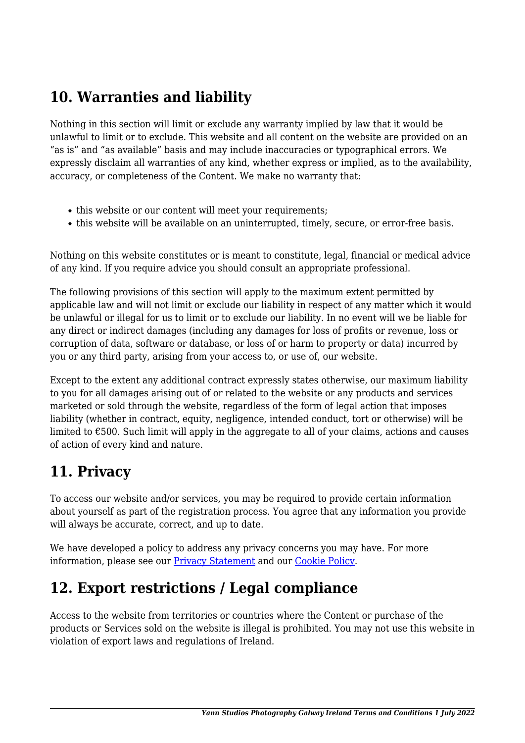# **10. Warranties and liability**

Nothing in this section will limit or exclude any warranty implied by law that it would be unlawful to limit or to exclude. This website and all content on the website are provided on an "as is" and "as available" basis and may include inaccuracies or typographical errors. We expressly disclaim all warranties of any kind, whether express or implied, as to the availability, accuracy, or completeness of the Content. We make no warranty that:

- this website or our content will meet your requirements;
- this website will be available on an uninterrupted, timely, secure, or error-free basis.

Nothing on this website constitutes or is meant to constitute, legal, financial or medical advice of any kind. If you require advice you should consult an appropriate professional.

The following provisions of this section will apply to the maximum extent permitted by applicable law and will not limit or exclude our liability in respect of any matter which it would be unlawful or illegal for us to limit or to exclude our liability. In no event will we be liable for any direct or indirect damages (including any damages for loss of profits or revenue, loss or corruption of data, software or database, or loss of or harm to property or data) incurred by you or any third party, arising from your access to, or use of, our website.

Except to the extent any additional contract expressly states otherwise, our maximum liability to you for all damages arising out of or related to the website or any products and services marketed or sold through the website, regardless of the form of legal action that imposes liability (whether in contract, equity, negligence, intended conduct, tort or otherwise) will be limited to  $\epsilon$ 500. Such limit will apply in the aggregate to all of your claims, actions and causes of action of every kind and nature.

#### **11. Privacy**

To access our website and/or services, you may be required to provide certain information about yourself as part of the registration process. You agree that any information you provide will always be accurate, correct, and up to date.

We have developed a policy to address any privacy concerns you may have. For more information, please see our **Privacy Statement** and our **[Cookie Policy](https://yannstudios.com/cookie-policy-eu/?cmplz_region_redirect=true)**.

#### **12. Export restrictions / Legal compliance**

Access to the website from territories or countries where the Content or purchase of the products or Services sold on the website is illegal is prohibited. You may not use this website in violation of export laws and regulations of Ireland.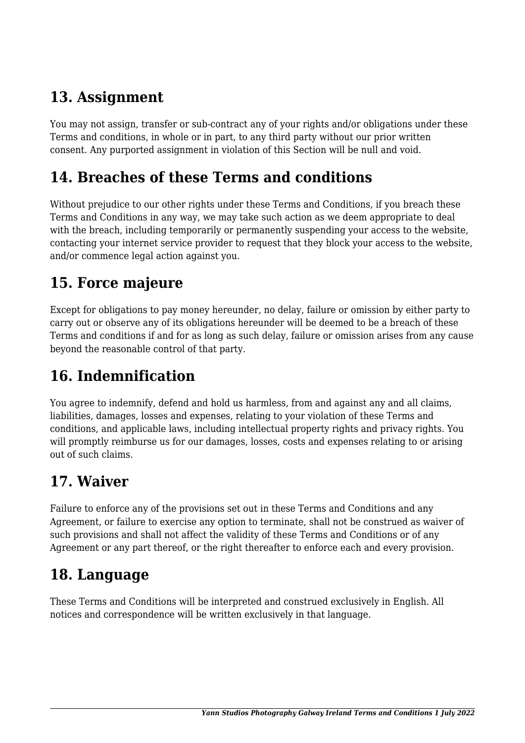## **13. Assignment**

You may not assign, transfer or sub-contract any of your rights and/or obligations under these Terms and conditions, in whole or in part, to any third party without our prior written consent. Any purported assignment in violation of this Section will be null and void.

### **14. Breaches of these Terms and conditions**

Without prejudice to our other rights under these Terms and Conditions, if you breach these Terms and Conditions in any way, we may take such action as we deem appropriate to deal with the breach, including temporarily or permanently suspending your access to the website, contacting your internet service provider to request that they block your access to the website, and/or commence legal action against you.

## **15. Force majeure**

Except for obligations to pay money hereunder, no delay, failure or omission by either party to carry out or observe any of its obligations hereunder will be deemed to be a breach of these Terms and conditions if and for as long as such delay, failure or omission arises from any cause beyond the reasonable control of that party.

# **16. Indemnification**

You agree to indemnify, defend and hold us harmless, from and against any and all claims, liabilities, damages, losses and expenses, relating to your violation of these Terms and conditions, and applicable laws, including intellectual property rights and privacy rights. You will promptly reimburse us for our damages, losses, costs and expenses relating to or arising out of such claims.

## **17. Waiver**

Failure to enforce any of the provisions set out in these Terms and Conditions and any Agreement, or failure to exercise any option to terminate, shall not be construed as waiver of such provisions and shall not affect the validity of these Terms and Conditions or of any Agreement or any part thereof, or the right thereafter to enforce each and every provision.

## **18. Language**

These Terms and Conditions will be interpreted and construed exclusively in English. All notices and correspondence will be written exclusively in that language.